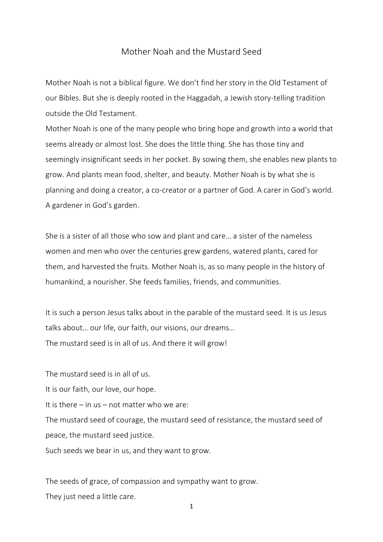## Mother Noah and the Mustard Seed

Mother Noah is not a biblical figure. We don't find her story in the Old Testament of our Bibles. But she is deeply rooted in the Haggadah, a Jewish story-telling tradition outside the Old Testament.

Mother Noah is one of the many people who bring hope and growth into a world that seems already or almost lost. She does the little thing. She has those tiny and seemingly insignificant seeds in her pocket. By sowing them, she enables new plants to grow. And plants mean food, shelter, and beauty. Mother Noah is by what she is planning and doing a creator, a co-creator or a partner of God. A carer in God's world. A gardener in God's garden.

She is a sister of all those who sow and plant and care… a sister of the nameless women and men who over the centuries grew gardens, watered plants, cared for them, and harvested the fruits. Mother Noah is, as so many people in the history of humankind, a nourisher. She feeds families, friends, and communities.

It is such a person Jesus talks about in the parable of the mustard seed. It is us Jesus talks about… our life, our faith, our visions, our dreams… The mustard seed is in all of us. And there it will grow!

The mustard seed is in all of us. It is our faith, our love, our hope. It is there  $-$  in us  $-$  not matter who we are: The mustard seed of courage, the mustard seed of resistance, the mustard seed of peace, the mustard seed justice. Such seeds we bear in us, and they want to grow.

The seeds of grace, of compassion and sympathy want to grow. They just need a little care.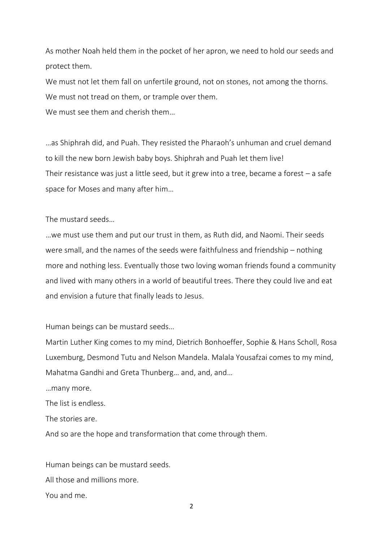As mother Noah held them in the pocket of her apron, we need to hold our seeds and protect them.

We must not let them fall on unfertile ground, not on stones, not among the thorns. We must not tread on them, or trample over them.

We must see them and cherish them...

…as Shiphrah did, and Puah. They resisted the Pharaoh's unhuman and cruel demand to kill the new born Jewish baby boys. Shiphrah and Puah let them live! Their resistance was just a little seed, but it grew into a tree, became a forest  $-$  a safe space for Moses and many after him…

The mustard seeds…

…we must use them and put our trust in them, as Ruth did, and Naomi. Their seeds were small, and the names of the seeds were faithfulness and friendship – nothing more and nothing less. Eventually those two loving woman friends found a community and lived with many others in a world of beautiful trees. There they could live and eat and envision a future that finally leads to Jesus.

Human beings can be mustard seeds…

Martin Luther King comes to my mind, Dietrich Bonhoeffer, Sophie & Hans Scholl, Rosa Luxemburg, Desmond Tutu and Nelson Mandela. Malala Yousafzai comes to my mind, Mahatma Gandhi and Greta Thunberg… and, and, and…

…many more.

The list is endless.

The stories are.

And so are the hope and transformation that come through them.

Human beings can be mustard seeds. All those and millions more. You and me.

2